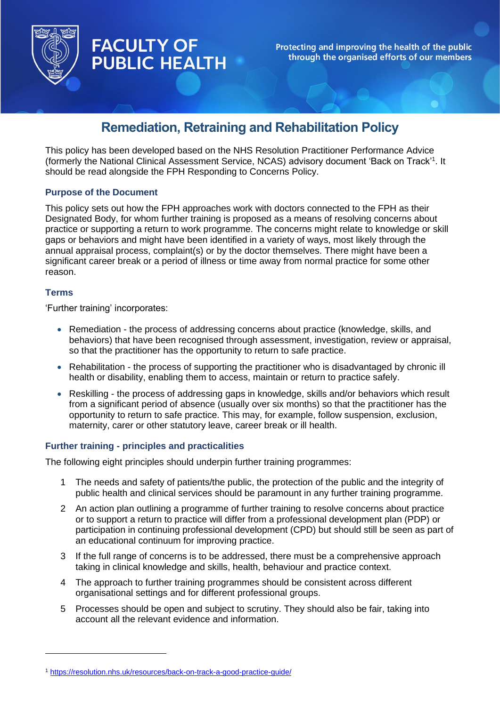

# **FACULTY OF PUBLIC HEALTH**

Protecting and improving the health of the public through the organised efforts of our members

## **Remediation, Retraining and Rehabilitation Policy**

This policy has been developed based on the NHS Resolution Practitioner Performance Advice (formerly the National Clinical Assessment Service, NCAS) advisory document 'Back on Track'<sup>1</sup> . It should be read alongside the FPH Responding to Concerns Policy.

## **Purpose of the Document**

This policy sets out how the FPH approaches work with doctors connected to the FPH as their Designated Body, for whom further training is proposed as a means of resolving concerns about practice or supporting a return to work programme. The concerns might relate to knowledge or skill gaps or behaviors and might have been identified in a variety of ways, most likely through the annual appraisal process, complaint(s) or by the doctor themselves. There might have been a significant career break or a period of illness or time away from normal practice for some other reason.

## **Terms**

'Further training' incorporates:

- Remediation the process of addressing concerns about practice (knowledge, skills, and behaviors) that have been recognised through assessment, investigation, review or appraisal, so that the practitioner has the opportunity to return to safe practice.
- Rehabilitation the process of supporting the practitioner who is disadvantaged by chronic ill health or disability, enabling them to access, maintain or return to practice safely.
- Reskilling the process of addressing gaps in knowledge, skills and/or behaviors which result from a significant period of absence (usually over six months) so that the practitioner has the opportunity to return to safe practice. This may, for example, follow suspension, exclusion, maternity, carer or other statutory leave, career break or ill health.

## **Further training - principles and practicalities**

The following eight principles should underpin further training programmes:

- 1 The needs and safety of patients/the public, the protection of the public and the integrity of public health and clinical services should be paramount in any further training programme.
- 2 An action plan outlining a programme of further training to resolve concerns about practice or to support a return to practice will differ from a professional development plan (PDP) or participation in continuing professional development (CPD) but should still be seen as part of an educational continuum for improving practice.
- 3 If the full range of concerns is to be addressed, there must be a comprehensive approach taking in clinical knowledge and skills, health, behaviour and practice context.
- 4 The approach to further training programmes should be consistent across different organisational settings and for different professional groups.
- 5 Processes should be open and subject to scrutiny. They should also be fair, taking into account all the relevant evidence and information.

<sup>1</sup> <https://resolution.nhs.uk/resources/back-on-track-a-good-practice-guide/>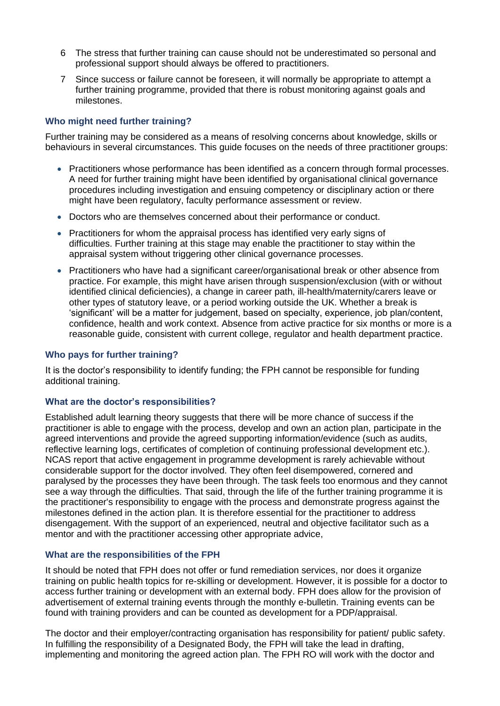- 6 The stress that further training can cause should not be underestimated so personal and professional support should always be offered to practitioners.
- 7 Since success or failure cannot be foreseen, it will normally be appropriate to attempt a further training programme, provided that there is robust monitoring against goals and milestones.

## **Who might need further training?**

Further training may be considered as a means of resolving concerns about knowledge, skills or behaviours in several circumstances. This guide focuses on the needs of three practitioner groups:

- Practitioners whose performance has been identified as a concern through formal processes. A need for further training might have been identified by organisational clinical governance procedures including investigation and ensuing competency or disciplinary action or there might have been regulatory, faculty performance assessment or review.
- Doctors who are themselves concerned about their performance or conduct.
- Practitioners for whom the appraisal process has identified very early signs of difficulties. Further training at this stage may enable the practitioner to stay within the appraisal system without triggering other clinical governance processes.
- Practitioners who have had a significant career/organisational break or other absence from practice. For example, this might have arisen through suspension/exclusion (with or without identified clinical deficiencies), a change in career path, ill-health/maternity/carers leave or other types of statutory leave, or a period working outside the UK. Whether a break is 'significant' will be a matter for judgement, based on specialty, experience, job plan/content, confidence, health and work context. Absence from active practice for six months or more is a reasonable guide, consistent with current college, regulator and health department practice.

#### **Who pays for further training?**

It is the doctor's responsibility to identify funding; the FPH cannot be responsible for funding additional training.

## **What are the doctor's responsibilities?**

Established adult learning theory suggests that there will be more chance of success if the practitioner is able to engage with the process, develop and own an action plan, participate in the agreed interventions and provide the agreed supporting information/evidence (such as audits, reflective learning logs, certificates of completion of continuing professional development etc.). NCAS report that active engagement in programme development is rarely achievable without considerable support for the doctor involved. They often feel disempowered, cornered and paralysed by the processes they have been through. The task feels too enormous and they cannot see a way through the difficulties. That said, through the life of the further training programme it is the practitioner's responsibility to engage with the process and demonstrate progress against the milestones defined in the action plan. It is therefore essential for the practitioner to address disengagement. With the support of an experienced, neutral and objective facilitator such as a mentor and with the practitioner accessing other appropriate advice,

## **What are the responsibilities of the FPH**

It should be noted that FPH does not offer or fund remediation services, nor does it organize training on public health topics for re-skilling or development. However, it is possible for a doctor to access further training or development with an external body. FPH does allow for the provision of advertisement of external training events through the monthly e-bulletin. Training events can be found with training providers and can be counted as development for a PDP/appraisal.

The doctor and their employer/contracting organisation has responsibility for patient/ public safety. In fulfilling the responsibility of a Designated Body, the FPH will take the lead in drafting, implementing and monitoring the agreed action plan. The FPH RO will work with the doctor and